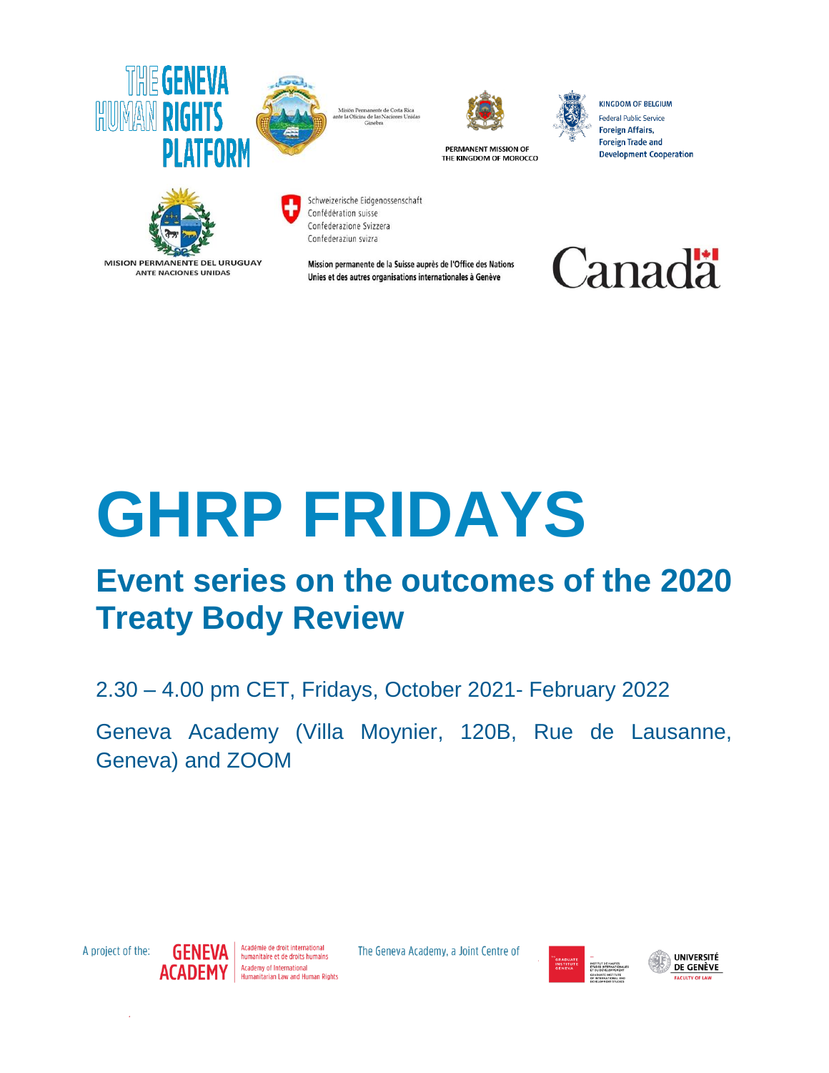

Misión Permanente de Costa Rica<br>ante la Oficina de las Naciones Unidas



PERMANENT MISSION OF THE KINGDOM OF MOROCCO

**KINGDOM OF BELGIUM** Federal Public Service **Foreign Affairs, Foreign Trade and Development Cooperation** 



**MISION PERMANENTE DEL URUGUAY ANTE NACIONES UNIDAS** 

Schweizerische Eidgenossenschaft Confédération suisse Confederazione Svizzera Confederaziun svizra

Mission permanente de la Suisse auprès de l'Office des Nations Unies et des autres organisations internationales à Genève



# **GHRP FRIDAYS**

## **Event series on the outcomes of the 2020 Treaty Body Review**

2.30 – 4.00 pm CET, Fridays, October 2021- February 2022

Geneva Academy (Villa Moynier, 120B, Rue de Lausanne, Geneva) and ZOOM

A project of the:



The Geneva Academy, a Joint Centre of





J,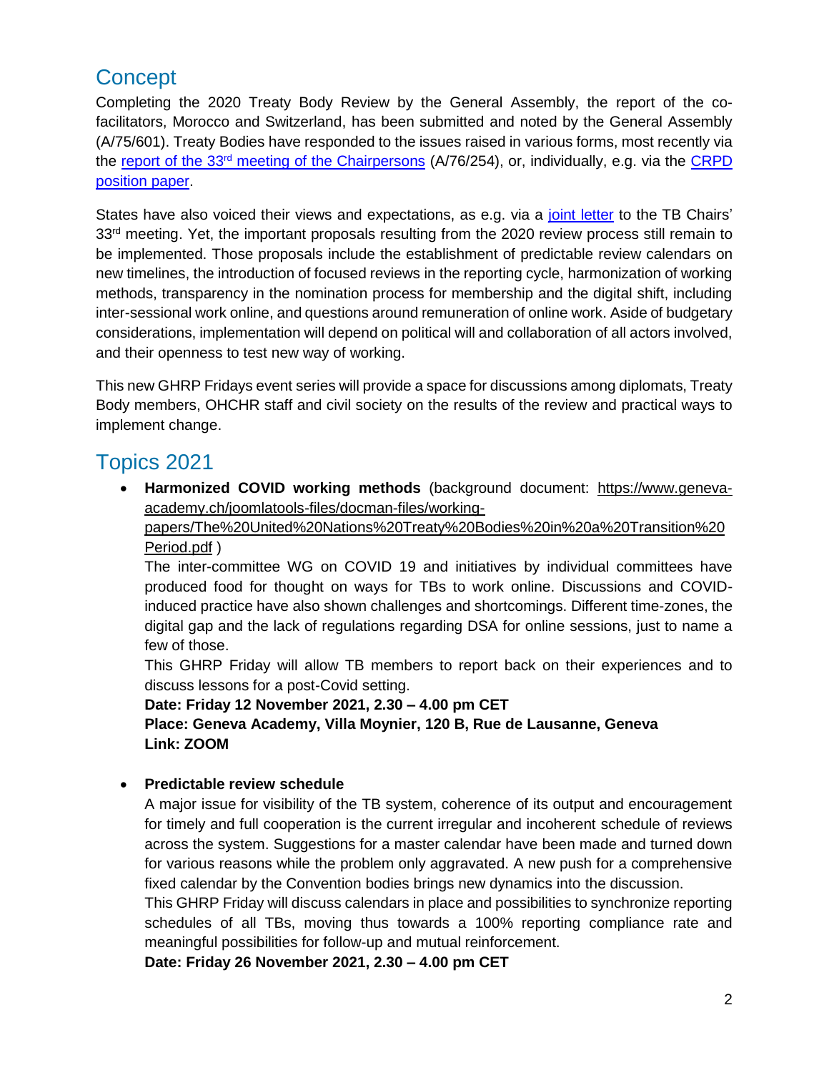## **Concept**

Completing the 2020 Treaty Body Review by the General Assembly, the report of the cofacilitators, Morocco and Switzerland, has been submitted and noted by the General Assembly (A/75/601). Treaty Bodies have responded to the issues raised in various forms, most recently via the report of the 33rd [meeting of the Chairpersons](https://www.ohchr.org/EN/HRBodies/AnnualMeeting/Pages/MeetingChairpersons.aspx) (A/76/254), or, individually, e.g. via the [CRPD](https://www.ohchr.org/Documents/HRBodies/Annual-meeting/Proposal-CRPD-3August2021.docx)  [position paper.](https://www.ohchr.org/Documents/HRBodies/Annual-meeting/Proposal-CRPD-3August2021.docx)

States have also voiced their views and expectations, as e.g. via a [joint letter](https://www.ohchr.org/Documents/HRBodies/Annual-meeting/Letter-group-46-States-2June2021.pdf) to the TB Chairs' 33<sup>rd</sup> meeting. Yet, the important proposals resulting from the 2020 review process still remain to be implemented. Those proposals include the establishment of predictable review calendars on new timelines, the introduction of focused reviews in the reporting cycle, harmonization of working methods, transparency in the nomination process for membership and the digital shift, including inter-sessional work online, and questions around remuneration of online work. Aside of budgetary considerations, implementation will depend on political will and collaboration of all actors involved, and their openness to test new way of working.

This new GHRP Fridays event series will provide a space for discussions among diplomats, Treaty Body members, OHCHR staff and civil society on the results of the review and practical ways to implement change.

## Topics 2021

 **Harmonized COVID working methods** (background document: [https://www.geneva](https://protect2.fireeye.com/v1/url?k=904476e6-cfdf4fda-9044c620-86b1886cfa64-e74fef5ca1d51f34&q=1&e=4fbe01ca-a9b6-4c45-9eac-58e1a22715d6&u=https%3A%2F%2Fwww.geneva-academy.ch%2Fjoomlatools-files%2Fdocman-files%2Fworking-papers%2FThe%2520United%2520Nations%2520Treaty%2520Bodies%2520in%2520a%2520Transition%2520Period.pdf)[academy.ch/joomlatools-files/docman-files/working-](https://protect2.fireeye.com/v1/url?k=904476e6-cfdf4fda-9044c620-86b1886cfa64-e74fef5ca1d51f34&q=1&e=4fbe01ca-a9b6-4c45-9eac-58e1a22715d6&u=https%3A%2F%2Fwww.geneva-academy.ch%2Fjoomlatools-files%2Fdocman-files%2Fworking-papers%2FThe%2520United%2520Nations%2520Treaty%2520Bodies%2520in%2520a%2520Transition%2520Period.pdf)

[papers/The%20United%20Nations%20Treaty%20Bodies%20in%20a%20Transition%20](https://protect2.fireeye.com/v1/url?k=904476e6-cfdf4fda-9044c620-86b1886cfa64-e74fef5ca1d51f34&q=1&e=4fbe01ca-a9b6-4c45-9eac-58e1a22715d6&u=https%3A%2F%2Fwww.geneva-academy.ch%2Fjoomlatools-files%2Fdocman-files%2Fworking-papers%2FThe%2520United%2520Nations%2520Treaty%2520Bodies%2520in%2520a%2520Transition%2520Period.pdf) [Period.pdf](https://protect2.fireeye.com/v1/url?k=904476e6-cfdf4fda-9044c620-86b1886cfa64-e74fef5ca1d51f34&q=1&e=4fbe01ca-a9b6-4c45-9eac-58e1a22715d6&u=https%3A%2F%2Fwww.geneva-academy.ch%2Fjoomlatools-files%2Fdocman-files%2Fworking-papers%2FThe%2520United%2520Nations%2520Treaty%2520Bodies%2520in%2520a%2520Transition%2520Period.pdf) )

The inter-committee WG on COVID 19 and initiatives by individual committees have produced food for thought on ways for TBs to work online. Discussions and COVIDinduced practice have also shown challenges and shortcomings. Different time-zones, the digital gap and the lack of regulations regarding DSA for online sessions, just to name a few of those.

This GHRP Friday will allow TB members to report back on their experiences and to discuss lessons for a post-Covid setting.

**Date: Friday 12 November 2021, 2.30 – 4.00 pm CET Place: Geneva Academy, Villa Moynier, 120 B, Rue de Lausanne, Geneva Link: ZOOM**

#### **Predictable review schedule**

A major issue for visibility of the TB system, coherence of its output and encouragement for timely and full cooperation is the current irregular and incoherent schedule of reviews across the system. Suggestions for a master calendar have been made and turned down for various reasons while the problem only aggravated. A new push for a comprehensive fixed calendar by the Convention bodies brings new dynamics into the discussion.

This GHRP Friday will discuss calendars in place and possibilities to synchronize reporting schedules of all TBs, moving thus towards a 100% reporting compliance rate and meaningful possibilities for follow-up and mutual reinforcement.

**Date: Friday 26 November 2021, 2.30 – 4.00 pm CET**